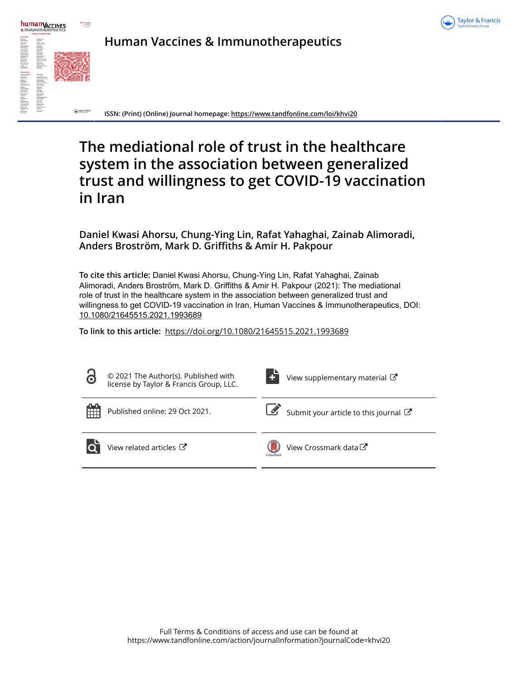



**Human Vaccines & Immunotherapeutics**

**ISSN: (Print) (Online) Journal homepage:<https://www.tandfonline.com/loi/khvi20>**

# **The mediational role of trust in the healthcare system in the association between generalized trust and willingness to get COVID-19 vaccination in Iran**

**Daniel Kwasi Ahorsu, Chung-Ying Lin, Rafat Yahaghai, Zainab Alimoradi, Anders Broström, Mark D. Griffiths & Amir H. Pakpour**

**To cite this article:** Daniel Kwasi Ahorsu, Chung-Ying Lin, Rafat Yahaghai, Zainab Alimoradi, Anders Broström, Mark D. Griffiths & Amir H. Pakpour (2021): The mediational role of trust in the healthcare system in the association between generalized trust and willingness to get COVID-19 vaccination in Iran, Human Vaccines & Immunotherapeutics, DOI: [10.1080/21645515.2021.1993689](https://www.tandfonline.com/action/showCitFormats?doi=10.1080/21645515.2021.1993689)

**To link to this article:** <https://doi.org/10.1080/21645515.2021.1993689>

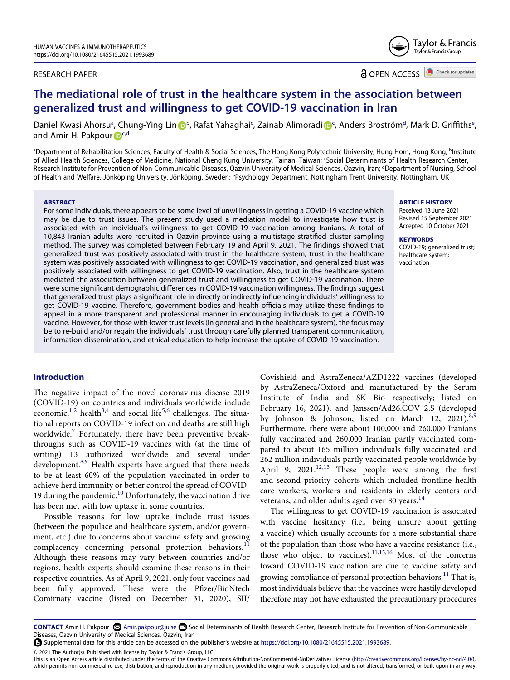# RESEARCH PAPER

**a** OPEN ACCESS **a** Check for updates

# **The mediational role of trust in the healthcare system in the association between generalized trust and willingness to get COVID-19 vaccination in Iran**

Da[n](http://orcid.org/0000-0002-2129-4242)iel Kwasi Ahorsu<sup>a</sup>, Chung-Ying Lin D[b](#page-1-0), Rafat Yahaghai<sup>[c](#page-1-1)</sup>, Zainab Alimoradi D<sup>c</sup>, Anders Broström<sup>d</sup>, Mark D. Griffiths<sup>e</sup>, and Ami[r](http://orcid.org/0000-0002-8798-5345) H. Pakpour **D**<sup>[c](#page-1-1)[,d](#page-1-2)</sup>

<span id="page-1-3"></span><span id="page-1-2"></span><span id="page-1-1"></span><span id="page-1-0"></span>ªDepartment of Rehabilitation Sciences, Faculty of Health & Social Sciences, The Hong Kong Polytechnic University, Hung Hom, Hong Kong; <sup>b</sup>Institute of Allied Health Sciences, College of Medicine, National Cheng Kung University, Tainan, Taiwan; 'Social Determinants of Health Research Center, Research Institute for Prevention of Non-Communicable Diseases, Qazvin University of Medical Sciences, Qazvin, Iran; <sup>d</sup>Department of Nursing, School of Health and Welfare, Jönköping University, Jönköping, Sweden; <sup>e</sup>Psychology Department, Nottingham Trent University, Nottingham, UK

#### **ABSTRACT**

For some individuals, there appears to be some level of unwillingness in getting a COVID-19 vaccine which may be due to trust issues. The present study used a mediation model to investigate how trust is associated with an individual's willingness to get COVID-19 vaccination among Iranians. A total of 10,843 Iranian adults were recruited in Qazvin province using a multistage stratified cluster sampling method. The survey was completed between February 19 and April 9, 2021. The findings showed that generalized trust was positively associated with trust in the healthcare system, trust in the healthcare system was positively associated with willingness to get COVID-19 vaccination, and generalized trust was positively associated with willingness to get COVID-19 vaccination. Also, trust in the healthcare system mediated the association between generalized trust and willingness to get COVID-19 vaccination. There were some significant demographic differences in COVID-19 vaccination willingness. The findings suggest that generalized trust plays a significant role in directly or indirectly influencing individuals' willingness to get COVID-19 vaccine. Therefore, government bodies and health officials may utilize these findings to appeal in a more transparent and professional manner in encouraging individuals to get a COVID-19 vaccine. However, for those with lower trust levels (in general and in the healthcare system), the focus may be to re-build and/or regain the individuals' trust through carefully planned transparent communication, information dissemination, and ethical education to help increase the uptake of COVID-19 vaccination.

# **Introduction**

<span id="page-1-5"></span><span id="page-1-4"></span>The negative impact of the novel coronavirus disease 2019 (COVID-19) on countries and individuals worldwide include economic,<sup>[1](#page-7-0),[2](#page-7-1)</sup> health<sup>3[,4](#page-7-3)</sup> and social life<sup>[5](#page-7-4),6</sup> challenges. The situational reports on COVID-19 infection and deaths are still high worldwide.<sup>[7](#page-7-6)</sup> Fortunately, there have been preventive breakthroughs such as COVID-19 vaccines with (at the time of writing) 13 authorized worldwide and several under development.<sup>[8](#page-7-7),[9](#page-7-8)</sup> Health experts have argued that there needs to be at least 60% of the population vaccinated in order to achieve herd immunity or better control the spread of COVID-19 during the pandemic. $10$  Unfortunately, the vaccination drive has been met with low uptake in some countries.

<span id="page-1-7"></span>Possible reasons for low uptake include trust issues (between the populace and healthcare system, and/or government, etc.) due to concerns about vaccine safety and growing complacency concerning personal protection behaviors.<sup>[11](#page-7-10)</sup> Although these reasons may vary between countries and/or regions, health experts should examine these reasons in their respective countries. As of April 9, 2021, only four vaccines had been fully approved. These were the Pfizer/BioNtech Comirnaty vaccine (listed on December 31, 2020), SII/

<span id="page-1-6"></span>Covishield and AstraZeneca/AZD1222 vaccines (developed by AstraZeneca/Oxford and manufactured by the Serum Institute of India and SK Bio respectively; listed on February 16, 2021), and Janssen/Ad26.COV 2.S (developed by Johnson & Johnson; listed on March 12, 2021).<sup>[8](#page-7-7)[,9](#page-7-8)</sup> Furthermore, there were about 100,000 and 260,000 Iranians fully vaccinated and 260,000 Iranian partly vaccinated compared to about 165 million individuals fully vaccinated and 262 million individuals partly vaccinated people worldwide by April 9,  $2021$ <sup>[12](#page-7-11),13</sup> These people were among the first and second priority cohorts which included frontline health care workers, workers and residents in elderly centers and veterans, and older adults aged over 80 years.<sup>[14](#page-7-13)</sup>

<span id="page-1-11"></span><span id="page-1-10"></span><span id="page-1-9"></span><span id="page-1-8"></span>The willingness to get COVID-19 vaccination is associated with vaccine hesitancy (i.e., being unsure about getting a vaccine) which usually accounts for a more substantial share of the population than those who have a vaccine resistance (i.e., those who object to vaccines).<sup>[11](#page-7-10)[,15](#page-7-14)[,16](#page-7-15)</sup> Most of the concerns toward COVID-19 vaccination are due to vaccine safety and growing compliance of personal protection behaviors.<sup>11</sup> That is, most individuals believe that the vaccines were hastily developed therefore may not have exhausted the precautionary procedures

© 2021 The Author(s). Published with license by Taylor & Francis Group, LLC.

This is an Open Access article distributed under the terms of the Creative Commons Attribution-NonCommercial-NoDerivatives License (http://creativecommons.org/licenses/by-nc-nd/4.0/), which permits non-commercial re-use, distribution, and reproduction in any medium, provided the original work is properly cited, and is not altered, transformed, or built upon in any way.

## **ARTICLE HISTORY**

Received 13 June 2021 Revised 15 September 2021 Accepted 10 October 2021

#### **KEYWORDS**  COVID-19; generalized trust; healthcare system; vaccination



CONTACT Amir H. Pakpour <sup>©</sup> Amir.pakpour@ju.se <sup>●</sup> Social Determinants of Health Research Center, Research Institute for Prevention of Non-Communicable Diseases, Qazvin University of Medical Sciences, Qazvin, Iran

Supplemental data for this article can be accessed on the publisher's website at [https://doi.org/10.1080/21645515.2021.1993689.](https://doi.org/10.1080/21645515.2021.1993689)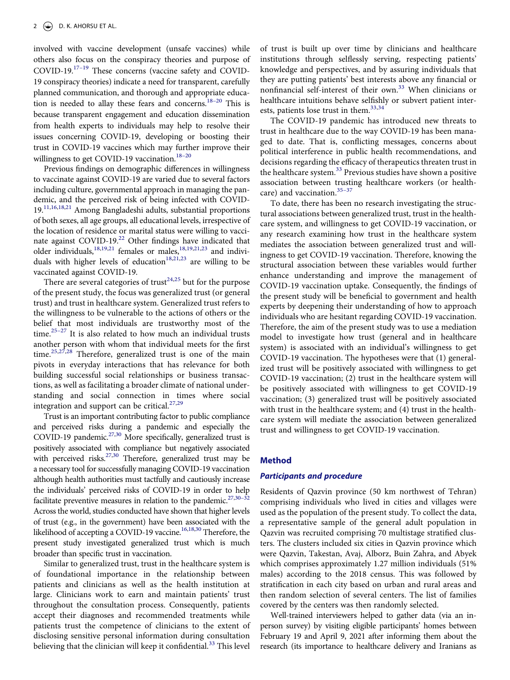<span id="page-2-0"></span>involved with vaccine development (unsafe vaccines) while others also focus on the conspiracy theories and purpose of COVID-19[.17–19](#page-7-16) These concerns (vaccine safety and COVID-19 conspiracy theories) indicate a need for transparent, carefully planned communication, and thorough and appropriate education is needed to allay these fears and concerns.<sup>18-20</sup> This is because transparent engagement and education dissemination from health experts to individuals may help to resolve their issues concerning COVID-19, developing or boosting their trust in COVID-19 vaccines which may further improve their willingness to get COVID-19 vaccination.<sup>18-20</sup>

Previous findings on demographic differences in willingness to vaccinate against COVID-19 are varied due to several factors including culture, governmental approach in managing the pandemic, and the perceived risk of being infected with COVID-19.<sup>[11,](#page-7-10)[16](#page-7-15),[18](#page-7-17)[,21](#page-7-18)</sup> Among Bangladeshi adults, substantial proportions of both sexes, all age groups, all educational levels, irrespective of the location of residence or marital status were willing to vaccinate against COVID-19[.22](#page-7-19) Other findings have indicated that older individuals, $18,19,21$  $18,19,21$  $18,19,21$  females or males, $18,19,21,23$  $18,19,21,23$  $18,19,21,23$  $18,19,21,23$  and indivi-duals with higher levels of education<sup>18,[21,](#page-7-18)[23](#page-7-21)</sup> are willing to be vaccinated against COVID-19.

<span id="page-2-4"></span><span id="page-2-3"></span><span id="page-2-2"></span><span id="page-2-1"></span>There are several categories of trust<sup>24[,25](#page-7-23)</sup> but for the purpose of the present study, the focus was generalized trust (or general trust) and trust in healthcare system. Generalized trust refers to the willingness to be vulnerable to the actions of others or the belief that most individuals are trustworthy most of the time. $25-27$  It is also related to how much an individual trusts another person with whom that individual meets for the first time.<sup>[25](#page-7-23)[,27,](#page-7-24)[28](#page-7-25)</sup> Therefore, generalized trust is one of the main pivots in everyday interactions that has relevance for both building successful social relationships or business transactions, as well as facilitating a broader climate of national understanding and social connection in times where social integration and support can be critical. $27,29$  $27,29$ 

<span id="page-2-7"></span><span id="page-2-5"></span>Trust is an important contributing factor to public compliance and perceived risks during a pandemic and especially the COVID-19 pandemic. $27,30$  $27,30$  More specifically, generalized trust is positively associated with compliance but negatively associated with perceived risks. $27,30$  $27,30$  Therefore, generalized trust may be a necessary tool for successfully managing COVID-19 vaccination although health authorities must tactfully and cautiously increase the individuals' perceived risks of COVID-19 in order to help facilitate preventive measures in relation to the pandemic.<sup>27,30–32</sup> Across the world, studies conducted have shown that higher levels of trust (e.g., in the government) have been associated with the likelihood of accepting a COVID-19 vaccine.<sup>16[,18](#page-7-17),[30](#page-7-27)</sup> Therefore, the present study investigated generalized trust which is much broader than specific trust in vaccination.

<span id="page-2-8"></span><span id="page-2-6"></span>Similar to generalized trust, trust in the healthcare system is of foundational importance in the relationship between patients and clinicians as well as the health institution at large. Clinicians work to earn and maintain patients' trust throughout the consultation process. Consequently, patients accept their diagnoses and recommended treatments while patients trust the competence of clinicians to the extent of disclosing sensitive personal information during consultation believing that the clinician will keep it confidential.<sup>[33](#page-7-28)</sup> This level

of trust is built up over time by clinicians and healthcare institutions through selflessly serving, respecting patients' knowledge and perspectives, and by assuring individuals that they are putting patients' best interests above any financial or nonfinancial self-interest of their own.<sup>[33](#page-7-28)</sup> When clinicians or healthcare intuitions behave selfishly or subvert patient inter-ests, patients lose trust in them.<sup>33,[34](#page-8-0)</sup>

<span id="page-2-10"></span>The COVID-19 pandemic has introduced new threats to trust in healthcare due to the way COVID-19 has been managed to date. That is, conflicting messages, concerns about political interference in public health recommendations, and decisions regarding the efficacy of therapeutics threaten trust in the healthcare system.<sup>[33](#page-7-28)</sup> Previous studies have shown a positive association between trusting healthcare workers (or healthcare) and vaccination.<sup>35-37</sup>

<span id="page-2-11"></span><span id="page-2-9"></span>To date, there has been no research investigating the structural associations between generalized trust, trust in the healthcare system, and willingness to get COVID-19 vaccination, or any research examining how trust in the healthcare system mediates the association between generalized trust and willingness to get COVID-19 vaccination. Therefore, knowing the structural association between these variables would further enhance understanding and improve the management of COVID-19 vaccination uptake. Consequently, the findings of the present study will be beneficial to government and health experts by deepening their understanding of how to approach individuals who are hesitant regarding COVID-19 vaccination. Therefore, the aim of the present study was to use a mediation model to investigate how trust (general and in healthcare system) is associated with an individual's willingness to get COVID-19 vaccination. The hypotheses were that (1) generalized trust will be positively associated with willingness to get COVID-19 vaccination; (2) trust in the healthcare system will be positively associated with willingness to get COVID-19 vaccination; (3) generalized trust will be positively associated with trust in the healthcare system; and (4) trust in the healthcare system will mediate the association between generalized trust and willingness to get COVID-19 vaccination.

### **Method**

#### *Participants and procedure*

Residents of Qazvin province (50 km northwest of Tehran) comprising individuals who lived in cities and villages were used as the population of the present study. To collect the data, a representative sample of the general adult population in Qazvin was recruited comprising 70 multistage stratified clusters. The clusters included six cities in Qazvin province which were Qazvin, Takestan, Avaj, Alborz, Buin Zahra, and Abyek which comprises approximately 1.27 million individuals (51% males) according to the 2018 census. This was followed by stratification in each city based on urban and rural areas and then random selection of several centers. The list of families covered by the centers was then randomly selected.

Well-trained interviewers helped to gather data (via an inperson survey) by visiting eligible participants' homes between February 19 and April 9, 2021 after informing them about the research (its importance to healthcare delivery and Iranians as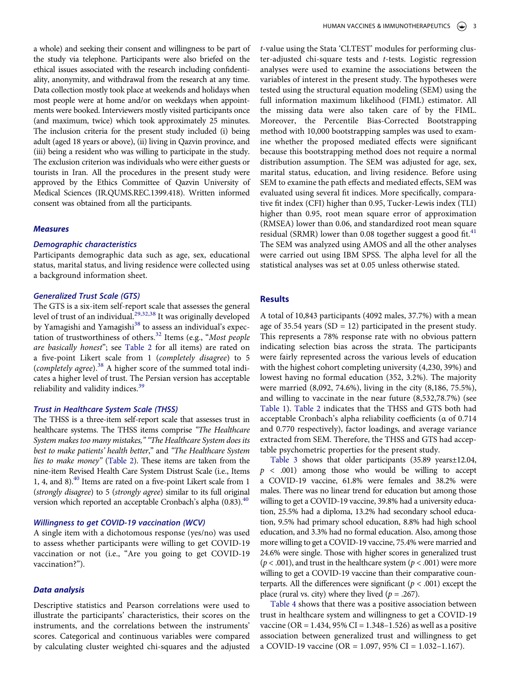a whole) and seeking their consent and willingness to be part of the study via telephone. Participants were also briefed on the ethical issues associated with the research including confidentiality, anonymity, and withdrawal from the research at any time. Data collection mostly took place at weekends and holidays when most people were at home and/or on weekdays when appointments were booked. Interviewers mostly visited participants once (and maximum, twice) which took approximately 25 minutes. The inclusion criteria for the present study included (i) being adult (aged 18 years or above), (ii) living in Qazvin province, and (iii) being a resident who was willing to participate in the study. The exclusion criterion was individuals who were either guests or tourists in Iran. All the procedures in the present study were approved by the Ethics Committee of Qazvin University of Medical Sciences (IR.QUMS.REC.1399.418). Written informed consent was obtained from all the participants.

# *Measures*

### *Demographic characteristics*

Participants demographic data such as age, sex, educational status, marital status, and living residence were collected using a background information sheet.

# *Generalized Trust Scale (GTS)*

<span id="page-3-0"></span>The GTS is a six-item self-report scale that assesses the general level of trust of an individual.<sup>29,[32,](#page-7-29)[38](#page-8-2)</sup> It was originally developed by Yamagishi and Yamagishi<sup>38</sup> to assess an individual's expectation of trustworthiness of others[.32](#page-7-29) Items (e.g., "*Most people are basically honest*"; see [Table 2](#page-4-0) for all items) are rated on a five-point Likert scale from 1 (*completely disagree*) to 5 (*completely agree*).[38](#page-8-2) A higher score of the summed total indicates a higher level of trust. The Persian version has acceptable reliability and validity indices.<sup>39</sup>

## <span id="page-3-2"></span><span id="page-3-1"></span>*Trust in Healthcare System Scale (THSS)*

The THSS is a three-item self-report scale that assesses trust in healthcare systems. The THSS items comprise *"The Healthcare System makes too many mistakes," "The Healthcare System does its best to make patients' health better*," and *"The Healthcare System lies to make money"* [\(Table 2\)](#page-4-0). These items are taken from the nine-item Revised Health Care System Distrust Scale (i.e., Items 1, 4, and 8).<sup>40</sup> Items are rated on a five-point Likert scale from 1 (*strongly disagree*) to 5 (*strongly agree*) similar to its full original version which reported an acceptable Cronbach's alpha  $(0.83)$ .<sup>[40](#page-8-4)</sup>

# <span id="page-3-3"></span>*Willingness to get COVID-19 vaccination (WCV)*

A single item with a dichotomous response (yes/no) was used to assess whether participants were willing to get COVID-19 vaccination or not (i.e., "Are you going to get COVID-19 vaccination?").

# *Data analysis*

Descriptive statistics and Pearson correlations were used to illustrate the participants' characteristics, their scores on the instruments, and the correlations between the instruments' scores. Categorical and continuous variables were compared by calculating cluster weighted chi-squares and the adjusted

*t*-value using the Stata 'CLTEST' modules for performing cluster-adjusted chi-square tests and *t*-tests. Logistic regression analyses were used to examine the associations between the variables of interest in the present study. The hypotheses were tested using the structural equation modeling (SEM) using the full information maximum likelihood (FIML) estimator. All the missing data were also taken care of by the FIML. Moreover, the Percentile Bias-Corrected Bootstrapping method with 10,000 bootstrapping samples was used to examine whether the proposed mediated effects were significant because this bootstrapping method does not require a normal distribution assumption. The SEM was adjusted for age, sex, marital status, education, and living residence. Before using SEM to examine the path effects and mediated effects, SEM was evaluated using several fit indices. More specifically, comparative fit index (CFI) higher than 0.95, Tucker-Lewis index (TLI) higher than 0.95, root mean square error of approximation (RMSEA) lower than 0.06, and standardized root mean square residual (SRMR) lower than 0.08 together suggest a good fit. $41$ The SEM was analyzed using AMOS and all the other analyses were carried out using IBM SPSS. The alpha level for all the statistical analyses was set at 0.05 unless otherwise stated.

# <span id="page-3-4"></span>**Results**

A total of 10,843 participants (4092 males, 37.7%) with a mean age of 35.54 years (SD = 12) participated in the present study. This represents a 78% response rate with no obvious pattern indicating selection bias across the strata. The participants were fairly represented across the various levels of education with the highest cohort completing university (4,230, 39%) and lowest having no formal education (352, 3.2%). The majority were married (8,092, 74.6%), living in the city (8,186, 75.5%), and willing to vaccinate in the near future (8,532,78.7%) (see [Table 1\)](#page-4-1). [Table 2](#page-4-0) indicates that the THSS and GTS both had acceptable Cronbach's alpha reliability coefficients (α of 0.714 and 0.770 respectively), factor loadings, and average variance extracted from SEM. Therefore, the THSS and GTS had acceptable psychometric properties for the present study.

[Table 3](#page-5-0) shows that older participants (35.89 years±12.04, *p* < .001) among those who would be willing to accept a COVID-19 vaccine, 61.8% were females and 38.2% were males. There was no linear trend for education but among those willing to get a COVID-19 vaccine, 39.8% had a university education, 25.5% had a diploma, 13.2% had secondary school education, 9.5% had primary school education, 8.8% had high school education, and 3.3% had no formal education. Also, among those more willing to get a COVID-19 vaccine, 75.4% were married and 24.6% were single. Those with higher scores in generalized trust (*p* < .001), and trust in the healthcare system (*p* < .001) were more willing to get a COVID-19 vaccine than their comparative counterparts. All the differences were significant ( $p < .001$ ) except the place (rural vs. city) where they lived  $(p = .267)$ .

[Table 4](#page-5-1) shows that there was a positive association between trust in healthcare system and willingness to get a COVID-19 vaccine (OR = 1.434, 95% CI = 1.348–1.526) as well as a positive association between generalized trust and willingness to get a COVID-19 vaccine (OR = 1.097, 95% CI = 1.032–1.167).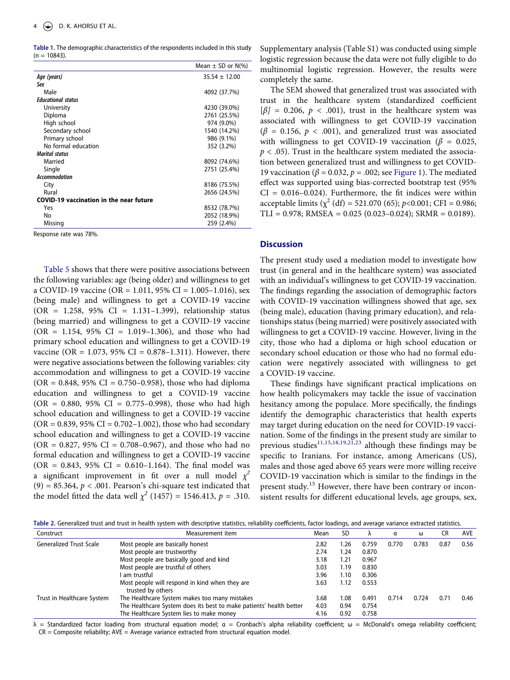<span id="page-4-1"></span>**Table 1.** The demographic characteristics of the respondents included in this study  $(n = 10843)$ .

|                                                | Mean $\pm$ SD or N(%) |
|------------------------------------------------|-----------------------|
| Age (years)                                    | $35.54 \pm 12.00$     |
| Sex                                            |                       |
| Male                                           | 4092 (37.7%)          |
| <b>Educational status</b>                      |                       |
| University                                     | 4230 (39.0%)          |
| Diploma                                        | 2761 (25.5%)          |
| High school                                    | 974 (9.0%)            |
| Secondary school                               | 1540 (14.2%)          |
| Primary school                                 | 986 (9.1%)            |
| No formal education                            | 352 (3.2%)            |
| <b>Marital status</b>                          |                       |
| Married                                        | 8092 (74.6%)          |
| Single                                         | 2751 (25.4%)          |
| <b>Accommodation</b>                           |                       |
| City                                           | 8186 (75.5%)          |
| Rural                                          | 2656 (24.5%)          |
| <b>COVID-19 vaccination in the near future</b> |                       |
| Yes                                            | 8532 (78.7%)          |
| No                                             | 2052 (18.9%)          |
| Missing                                        | 259 (2.4%)            |

Response rate was 78%.

[Table 5](#page-5-2) shows that there were positive associations between the following variables: age (being older) and willingness to get a COVID-19 vaccine (OR = 1.011, 95% CI = 1.005–1.016), sex (being male) and willingness to get a COVID-19 vaccine (OR = 1.258, 95% CI = 1.131–1.399), relationship status (being married) and willingness to get a COVID-19 vaccine  $(OR = 1.154, 95\% CI = 1.019 - 1.306)$ , and those who had primary school education and willingness to get a COVID-19 vaccine (OR = 1.073, 95% CI = 0.878–1.311). However, there were negative associations between the following variables: city accommodation and willingness to get a COVID-19 vaccine  $(OR = 0.848, 95\% \text{ CI} = 0.750 - 0.958)$ , those who had diploma education and willingness to get a COVID-19 vaccine  $(OR = 0.880, 95\% \text{ CI} = 0.775-0.998)$ , those who had high school education and willingness to get a COVID-19 vaccine  $(OR = 0.839, 95\% CI = 0.702 - 1.002)$ , those who had secondary school education and willingness to get a COVID-19 vaccine  $(OR = 0.827, 95\% \text{ CI} = 0.708 - 0.967)$ , and those who had no formal education and willingness to get a COVID-19 vaccine  $(OR = 0.843, 95\% CI = 0.610 - 1.164)$ . The final model was a significant improvement in fit over a null model  $\chi^2$  $(9) = 85.364$ ,  $p < .001$ . Pearson's chi-square test indicated that the model fitted the data well  $\chi^2$  (1457) = 1546.413,  $p = .310$ .

Supplementary analysis (Table S1) was conducted using simple logistic regression because the data were not fully eligible to do multinomial logistic regression. However, the results were completely the same.

The SEM showed that generalized trust was associated with trust in the healthcare system (standardized coefficient  $[\beta] = 0.206$ ,  $p < .001$ ), trust in the healthcare system was associated with willingness to get COVID-19 vaccination  $(\beta = 0.156, p < .001)$ , and generalized trust was associated with willingness to get COVID-19 vaccination (*β* = 0.025,  $p < .05$ ). Trust in the healthcare system mediated the association between generalized trust and willingness to get COVID-19 vaccination (*β* = 0.032, *p =* .002; see [Figure 1\)](#page-6-0). The mediated effect was supported using bias-corrected bootstrap test (95%  $CI = 0.016 - 0.024$ . Furthermore, the fit indices were within acceptable limits ( $\chi^2$  (df) = 521.070 (65); *p*<0.001; CFI = 0.986;  $TLI = 0.978$ ; RMSEA =  $0.025$  (0.023-0.024); SRMR = 0.0189).

# **Discussion**

The present study used a mediation model to investigate how trust (in general and in the healthcare system) was associated with an individual's willingness to get COVID-19 vaccination. The findings regarding the association of demographic factors with COVID-19 vaccination willingness showed that age, sex (being male), education (having primary education), and relationships status (being married) were positively associated with willingness to get a COVID-19 vaccine. However, living in the city, those who had a diploma or high school education or secondary school education or those who had no formal education were negatively associated with willingness to get a COVID-19 vaccine.

These findings have significant practical implications on how health policymakers may tackle the issue of vaccination hesitancy among the populace. More specifically, the findings identify the demographic characteristics that health experts may target during education on the need for COVID-19 vaccination. Some of the findings in the present study are similar to previous studies<sup>11[,15](#page-7-14)[,18](#page-7-17),[19](#page-7-20),[21](#page-7-18),23</sup> although these findings may be specific to Iranians. For instance, among Americans (US), males and those aged above 65 years were more willing receive COVID-19 vaccination which is similar to the findings in the present study.<sup>[15](#page-7-14)</sup> However, there have been contrary or inconsistent results for different educational levels, age groups, sex,

<span id="page-4-0"></span>**Table 2.** Generalized trust and trust in health system with descriptive statistics, reliability coefficients, factor loadings, and average variance extracted statistics.

| Construct                      | Measurement item                                                    | Mean | <b>SD</b> |       | α     | ω     | CR   | <b>AVE</b> |
|--------------------------------|---------------------------------------------------------------------|------|-----------|-------|-------|-------|------|------------|
| <b>Generalized Trust Scale</b> | Most people are basically honest                                    | 2.82 | 1.26      | 0.759 | 0.770 | 0.783 | 0.87 | 0.56       |
|                                | Most people are trustworthy                                         | 2.74 | 1.24      | 0.870 |       |       |      |            |
|                                | Most people are basically good and kind                             | 3.18 | 1.21      | 0.967 |       |       |      |            |
|                                | Most people are trustful of others                                  | 3.03 | 1.19      | 0.830 |       |       |      |            |
|                                | am trustful                                                         | 3.96 | 1.10      | 0.306 |       |       |      |            |
|                                | Most people will respond in kind when they are<br>trusted by others | 3.63 | 1.12      | 0.553 |       |       |      |            |
| Trust in Healthcare System     | The Healthcare System makes too many mistakes                       | 3.68 | 1.08      | 0.491 | 0.714 | 0.724 | 0.71 | 0.46       |
|                                | The Healthcare System does its best to make patients' health better | 4.03 | 0.94      | 0.754 |       |       |      |            |
|                                | The Healthcare System lies to make money                            | 4.16 | 0.92      | 0.758 |       |       |      |            |

 $λ$  = Standardized factor loading from structural equation model;  $α$  = Cronbach's alpha reliability coefficient; ω = McDonald's omega reliability coefficient;  $CR =$  Composite reliability;  $AVE =$  Average variance extracted from structural equation model.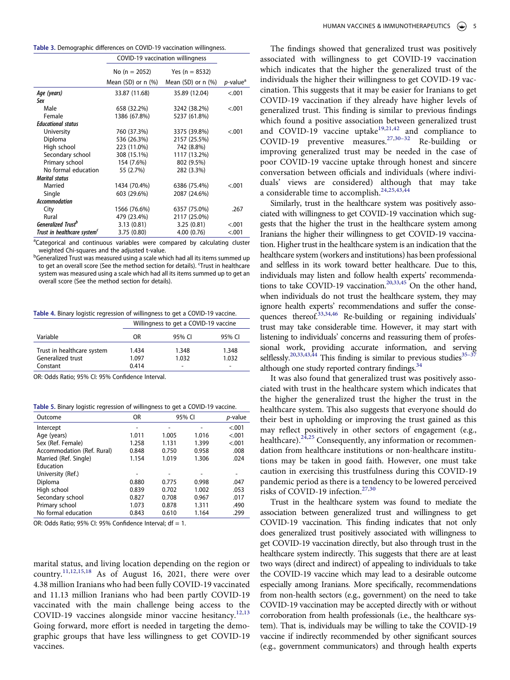<span id="page-5-0"></span>

| Table 3. Demographic differences on COVID-19 vaccination willingness. |  |  |
|-----------------------------------------------------------------------|--|--|
|-----------------------------------------------------------------------|--|--|

|                                         | COVID-19 vaccination willingness |                         |                         |
|-----------------------------------------|----------------------------------|-------------------------|-------------------------|
|                                         | No (n = 2052)                    | Yes (n = $8532$ )       |                         |
|                                         | Mean $(SD)$ or n $(\%)$          | Mean $(SD)$ or n $(\%)$ | $p$ -value <sup>a</sup> |
| Age (years)                             | 33.87 (11.68)                    | 35.89 (12.04)           | < .001                  |
| Sex                                     |                                  |                         |                         |
| Male                                    | 658 (32.2%)                      | 3242 (38.2%)            | < .001                  |
| Female                                  | 1386 (67.8%)                     | 5237 (61.8%)            |                         |
| <b>Educational status</b>               |                                  |                         |                         |
| University                              | 760 (37.3%)                      | 3375 (39.8%)            | < .001                  |
| Diploma                                 | 536 (26.3%)                      | 2157 (25.5%)            |                         |
| High school                             | 223 (11.0%)                      | 742 (8.8%)              |                         |
| Secondary school                        | 308 (15.1%)                      | 1117 (13.2%)            |                         |
| Primary school                          | 154 (7.6%)                       | 802 (9.5%)              |                         |
| No formal education                     | 55 (2.7%)                        | 282 (3.3%)              |                         |
| <b>Marital status</b>                   |                                  |                         |                         |
| Married                                 | 1434 (70.4%)                     | 6386 (75.4%)            | < .001                  |
| Single                                  | 603 (29.6%)                      | 2087 (24.6%)            |                         |
| <b>Accommodation</b>                    |                                  |                         |                         |
| City                                    | 1566 (76.6%)                     | 6357 (75.0%)            | .267                    |
| Rural                                   | 479 (23.4%)                      | 2117 (25.0%)            |                         |
| <b>Generalized Trust<sup>b</sup></b>    | 3.13(0.81)                       | 3.25(0.81)              | < 0.01                  |
| Trust in healthcare system <sup>c</sup> | 3.75(0.80)                       | 4.00(0.76)              | < 0.001                 |

<sup>a</sup>Categorical and continuous variables were compared by calculating cluster weighted Chi-squares and the adjusted t-value.

<sup>b</sup>Generalized Trust was measured using a scale which had all its items summed up to get an overall score (See the method section for details). 'Trust in healthcare system was measured using a scale which had all its items summed up to get an overall score (See the method section for details).

<span id="page-5-1"></span>**Table 4.** Binary logistic regression of willingness to get a COVID-19 vaccine.

|                                                             |                         | Willingness to get a COVID-19 vaccine |                                            |  |  |  |
|-------------------------------------------------------------|-------------------------|---------------------------------------|--------------------------------------------|--|--|--|
| Variable                                                    | OR                      | 95% CI                                | 95% CI                                     |  |  |  |
| Trust in healthcare system<br>Generalized trust<br>Constant | 1.434<br>1.097<br>0.414 | 1.348<br>1.032<br>-                   | 1.348<br>1.032<br>$\overline{\phantom{0}}$ |  |  |  |

OR: Odds Ratio; 95% CI: 95% Confidence Interval.

<span id="page-5-2"></span>**Table 5. Binary logistic regression of willingness to get a COVID-19 vaccine.** 

| Outcome                    | OR    | 95% CI |       | p-value |
|----------------------------|-------|--------|-------|---------|
| Intercept                  |       | -      |       | < .001  |
| Age (years)                | 1.011 | 1.005  | 1.016 | < .001  |
| Sex (Ref. Female)          | 1.258 | 1.131  | 1.399 | < .001  |
| Accommodation (Ref. Rural) | 0.848 | 0.750  | 0.958 | .008    |
| Married (Ref. Single)      | 1.154 | 1.019  | 1.306 | .024    |
| Education                  |       |        |       |         |
| University (Ref.)          | -     |        |       |         |
| Diploma                    | 0.880 | 0.775  | 0.998 | .047    |
| High school                | 0.839 | 0.702  | 1.002 | .053    |
| Secondary school           | 0.827 | 0.708  | 0.967 | .017    |
| Primary school             | 1.073 | 0.878  | 1.311 | .490    |
| No formal education        | 0.843 | 0.610  | 1.164 | .299    |

OR: Odds Ratio; 95% CI: 95% Confidence Interval;  $df = 1$ .

marital status, and living location depending on the region or country.[11,](#page-7-10)[12,](#page-7-11)[15](#page-7-14)[,18](#page-7-17) As of August 16, 2021, there were over 4.38 million Iranians who had been fully COVID-19 vaccinated and 11.13 million Iranians who had been partly COVID-19 vaccinated with the main challenge being access to the COVID-19 vaccines alongside minor vaccine hesitancy.<sup>[12](#page-7-11),[13](#page-7-12)</sup> Going forward, more effort is needed in targeting the demographic groups that have less willingness to get COVID-19 vaccines.

The findings showed that generalized trust was positively associated with willingness to get COVID-19 vaccination which indicates that the higher the generalized trust of the individuals the higher their willingness to get COVID-19 vaccination. This suggests that it may be easier for Iranians to get COVID-19 vaccination if they already have higher levels of generalized trust. This finding is similar to previous findings which found a positive association between generalized trust and COVID-19 vaccine uptake<sup>[19,](#page-7-20)[21](#page-7-18)[,42](#page-8-6)</sup> and compliance to COVID-19 preventive measures.<sup>[27](#page-7-24),30–32</sup> Re-building or improving generalized trust may be needed in the case of poor COVID-19 vaccine uptake through honest and sincere conversation between officials and individuals (where individuals' views are considered) although that may take a considerable time to accomplish.<sup>[24](#page-7-22)[,25,](#page-7-23)[43](#page-8-7)[,44](#page-8-8)</sup>

<span id="page-5-5"></span><span id="page-5-4"></span>Similarly, trust in the healthcare system was positively associated with willingness to get COVID-19 vaccination which suggests that the higher the trust in the healthcare system among Iranians the higher their willingness to get COVID-19 vaccination. Higher trust in the healthcare system is an indication that the healthcare system (workers and institutions) has been professional and selfless in its work toward better healthcare. Due to this, individuals may listen and follow health experts' recommenda-tions to take COVID-19 vaccination.<sup>20[,33](#page-7-28),[45](#page-8-9)</sup> On the other hand, when individuals do not trust the healthcare system, they may ignore health experts' recommendations and suffer the conse-quences thereof.<sup>33[,34](#page-8-0),[46](#page-8-10)</sup> Re-building or regaining individuals' trust may take considerable time. However, it may start with listening to individuals' concerns and reassuring them of professional work, providing accurate information, and serving selflessly.<sup>[20,](#page-7-30)[33](#page-7-28)[,43](#page-8-7),44</sup> This finding is similar to previous studies<sup>35-3</sup> although one study reported contrary findings.<sup>[34](#page-8-0)</sup>

<span id="page-5-6"></span><span id="page-5-3"></span>It was also found that generalized trust was positively associated with trust in the healthcare system which indicates that the higher the generalized trust the higher the trust in the healthcare system. This also suggests that everyone should do their best in upholding or improving the trust gained as this may reflect positively in other sectors of engagement (e.g., healthcare).<sup>[24](#page-7-22)[,25](#page-7-23)</sup> Consequently, any information or recommendation from healthcare institutions or non-healthcare institutions may be taken in good faith. However, one must take caution in exercising this trustfulness during this COVID-19 pandemic period as there is a tendency to be lowered perceived risks of COVID-19 infection.<sup>27,[30](#page-7-27)</sup>

Trust in the healthcare system was found to mediate the association between generalized trust and willingness to get COVID-19 vaccination. This finding indicates that not only does generalized trust positively associated with willingness to get COVID-19 vaccination directly, but also through trust in the healthcare system indirectly. This suggests that there are at least two ways (direct and indirect) of appealing to individuals to take the COVID-19 vaccine which may lead to a desirable outcome especially among Iranians. More specifically, recommendations from non-health sectors (e.g., government) on the need to take COVID-19 vaccination may be accepted directly with or without corroboration from health professionals (i.e., the healthcare system). That is, individuals may be willing to take the COVID-19 vaccine if indirectly recommended by other significant sources (e.g., government communicators) and through health experts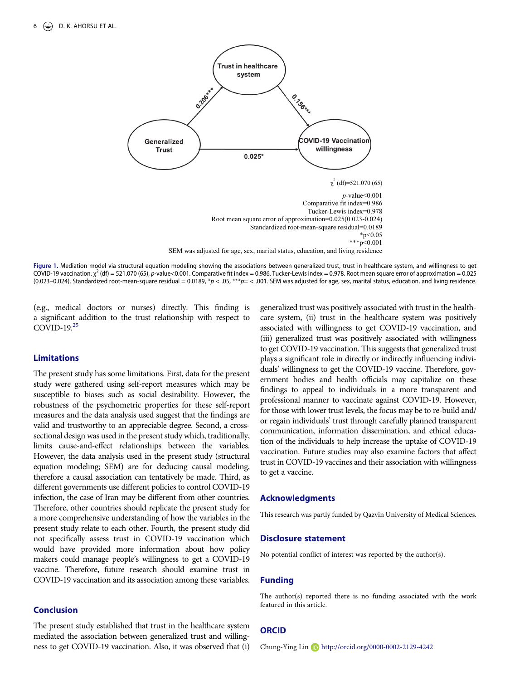<span id="page-6-0"></span>

**Figure 1.** Mediation model via structural equation modeling showing the associations between generalized trust, trust in healthcare system, and willingness to get COVID-19 vaccination. χ 2 (df) = 521.070 (65), *p*-value<0.001. Comparative fit index = 0.986. Tucker-Lewis index = 0.978. Root mean square error of approximation = 0.025 (0.023–0.024). Standardized root-mean-square residual = 0.0189,  $p > 0.05$ ,  $***p = 0.001$ . SEM was adjusted for age, sex, marital status, education, and living residence.

(e.g., medical doctors or nurses) directly. This finding is a significant addition to the trust relationship with respect to COVID-19.[25](#page-7-23)

# **Limitations**

The present study has some limitations. First, data for the present study were gathered using self-report measures which may be susceptible to biases such as social desirability. However, the robustness of the psychometric properties for these self-report measures and the data analysis used suggest that the findings are valid and trustworthy to an appreciable degree. Second, a crosssectional design was used in the present study which, traditionally, limits cause-and-effect relationships between the variables. However, the data analysis used in the present study (structural equation modeling; SEM) are for deducing causal modeling, therefore a causal association can tentatively be made. Third, as different governments use different policies to control COVID-19 infection, the case of Iran may be different from other countries. Therefore, other countries should replicate the present study for a more comprehensive understanding of how the variables in the present study relate to each other. Fourth, the present study did not specifically assess trust in COVID-19 vaccination which would have provided more information about how policy makers could manage people's willingness to get a COVID-19 vaccine. Therefore, future research should examine trust in COVID-19 vaccination and its association among these variables.

# **Conclusion**

The present study established that trust in the healthcare system mediated the association between generalized trust and willingness to get COVID-19 vaccination. Also, it was observed that (i) generalized trust was positively associated with trust in the healthcare system, (ii) trust in the healthcare system was positively associated with willingness to get COVID-19 vaccination, and (iii) generalized trust was positively associated with willingness to get COVID-19 vaccination. This suggests that generalized trust plays a significant role in directly or indirectly influencing individuals' willingness to get the COVID-19 vaccine. Therefore, government bodies and health officials may capitalize on these findings to appeal to individuals in a more transparent and professional manner to vaccinate against COVID-19. However, for those with lower trust levels, the focus may be to re-build and/ or regain individuals' trust through carefully planned transparent communication, information dissemination, and ethical education of the individuals to help increase the uptake of COVID-19 vaccination. Future studies may also examine factors that affect trust in COVID-19 vaccines and their association with willingness to get a vaccine.

### **Acknowledgments**

This research was partly funded by Qazvin University of Medical Sciences.

#### **Disclosure statement**

No potential conflict of interest was reported by the author(s).

# **Funding**

The author(s) reported there is no funding associated with the work featured in this article.

### **ORCID**

Chung-Ying Lin http://orcid.org/0000-0002-2129-4242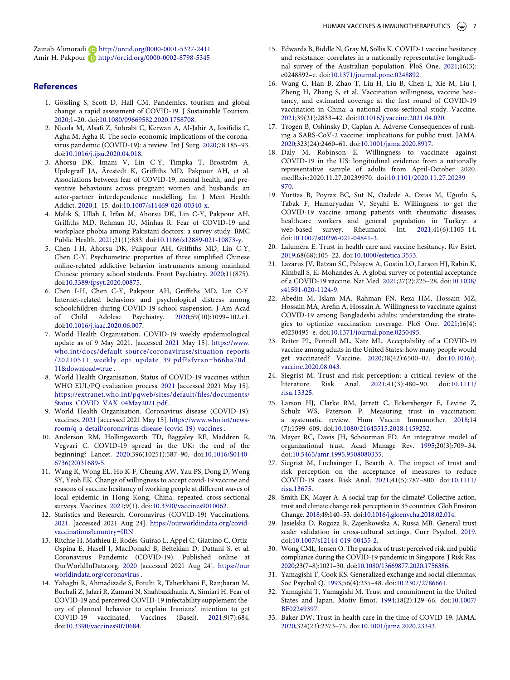Zainab Alimoradi D http://orcid.org/0000-0001-5327-2411 Amir H. Pakpour **h**ttp://orcid.org/0000-0002-8798-5345

#### **References**

- <span id="page-7-0"></span>1. Gössling S, Scott D, Hall CM. Pandemics, tourism and global change: a rapid assessment of COVID-19. J Sustainable Tourism. [2020;](#page-1-4)1–20. doi:[10.1080/09669582.2020.1758708](https://doi.org/10.1080/09669582.2020.1758708).
- <span id="page-7-1"></span>2. Nicola M, Alsafi Z, Sohrabi C, Kerwan A, Al-Jabir A, Iosifidis C, Agha M, Agha R. The socio-economic implications of the coronavirus pandemic (COVID-19): a review. Int J Surg. [2020](#page-1-4);78:185–93. doi:[10.1016/j.ijsu.2020.04.018](https://doi.org/10.1016/j.ijsu.2020.04.018).
- <span id="page-7-2"></span>3. Ahorsu DK, Imani V, Lin C-Y, Timpka T, Broström A, Updegraff JA, Årestedt K, Griffiths MD, Pakpour AH, et al. Associations between fear of COVID-19, mental health, and preventive behaviours across pregnant women and husbands: an actor-partner interdependence modelling. Int J Ment Health Addict. [2020](#page-1-4);1–15. doi:[10.1007/s11469-020-00340-x.](https://doi.org/10.1007/s11469-020-00340-x)
- <span id="page-7-3"></span>4. Malik S, Ullah I, Irfan M, Ahorsu DK, Lin C-Y, Pakpour AH, Griffiths MD, Rehman IU, Minhas R. Fear of COVID-19 and workplace phobia among Pakistani doctors: a survey study. BMC Public Health. [2021](#page-1-4);21(1):833. doi:[10.1186/s12889-021-10873-y](https://doi.org/10.1186/s12889-021-10873-y).
- <span id="page-7-4"></span>5. Chen I-H, Ahorsu DK, Pakpour AH, Griffiths MD, Lin C-Y, Chen C-Y. Psychometric properties of three simplified Chinese online-related addictive behavior instruments among mainland Chinese primary school students. Front Psychiatry. [2020;](#page-1-4)11(875). doi:[10.3389/fpsyt.2020.00875.](https://doi.org/10.3389/fpsyt.2020.00875)
- <span id="page-7-5"></span>6. Chen I-H, Chen C-Y, Pakpour AH, Griffiths MD, Lin C-Y. Internet-related behaviors and psychological distress among schoolchildren during COVID-19 school suspension. J Am Acad of Child Adolesc Psychiatry. [2020](#page-1-4);59(10):1099–102.e1. doi:[10.1016/j.jaac.2020.06.007.](https://doi.org/10.1016/j.jaac.2020.06.007)
- <span id="page-7-6"></span>7. World Health Organisation. COVID-19 weekly epidemiological update as of 9 May 2021. [accessed [2021](#page-1-5) May 15]. [https://www.](https://www.who.int/docs/default-source/coronaviruse/situation-reports/20210511_weekly_epi_update_39.pdf?sfvrsn=b66ba70d_11%26download=true)  [who.int/docs/default-source/coronaviruse/situation-reports](https://www.who.int/docs/default-source/coronaviruse/situation-reports/20210511_weekly_epi_update_39.pdf?sfvrsn=b66ba70d_11%26download=true) [/20210511\\_weekly\\_epi\\_update\\_39.pdf?sfvrsn=b66ba70d\\_](https://www.who.int/docs/default-source/coronaviruse/situation-reports/20210511_weekly_epi_update_39.pdf?sfvrsn=b66ba70d_11%26download=true)  [11&download=true](https://www.who.int/docs/default-source/coronaviruse/situation-reports/20210511_weekly_epi_update_39.pdf?sfvrsn=b66ba70d_11%26download=true) .
- <span id="page-7-7"></span>8. World Health Organisation. Status of COVID-19 vaccines within WHO EUL/PQ evaluation process. [2021](#page-1-6) [accessed 2021 May 15]. [https://extranet.who.int/pqweb/sites/default/files/documents/](https://extranet.who.int/pqweb/sites/default/files/documents/Status_COVID_VAX_04May2021.pdf) [Status\\_COVID\\_VAX\\_04May2021.pdf](https://extranet.who.int/pqweb/sites/default/files/documents/Status_COVID_VAX_04May2021.pdf) .
- <span id="page-7-8"></span>9. World Health Organisation. Coronavirus disease (COVID-19): vaccines. [2021](#page-1-6) [accessed 2021 May 15]. [https://www.who.int/news](https://www.who.int/news-room/q-a-detail/coronavirus-disease-(covid-19)-vaccines)[room/q-a-detail/coronavirus-disease-\(covid-19\)-vaccines](https://www.who.int/news-room/q-a-detail/coronavirus-disease-(covid-19)-vaccines) .
- <span id="page-7-9"></span>10. Anderson RM, Hollingsworth TD, Baggaley RF, Maddren R, Vegvari C. COVID-19 spread in the UK: the end of the beginning? Lancet. [2020](#page-1-7);396(10251):587–90. doi:[10.1016/S0140-](https://doi.org/10.1016/S0140-6736(20)31689-5)  [6736\(20\)31689-5](https://doi.org/10.1016/S0140-6736(20)31689-5).
- <span id="page-7-10"></span>11. Wang K, Wong EL, Ho K-F, Cheung AW, Yau PS, Dong D, Wong SY, Yeoh EK. Change of willingness to accept covid-19 vaccine and reasons of vaccine hesitancy of working people at different waves of local epidemic in Hong Kong, China: repeated cross-sectional surveys. Vaccines. [2021](#page-1-8);9(1). doi:[10.3390/vaccines9010062.](https://doi.org/10.3390/vaccines9010062)
- <span id="page-7-11"></span>12. Statistics and Research. Coronavirus (COVID-19) Vaccinations. [2021.](#page-1-9) [accessed 2021 Aug 24]. [https://ourworldindata.org/covid](https://ourworldindata.org/covid-vaccinations?country=IRN)[vaccinations?country=IRN](https://ourworldindata.org/covid-vaccinations?country=IRN)
- <span id="page-7-12"></span>13. Ritchie H, Mathieu E, Rodés-Guirao L, Appel C, Giattino C, Ortiz-Ospina E, Hasell J, MacDonald B, Beltekian D, Dattani S, et al. Coronavirus Pandemic (COVID-19). Published online at OurWorldInData.org. [2020](#page-1-9) [accessed 2021 Aug 24]. [https://our](https://ourworldindata.org/coronavirus) [worldindata.org/coronavirus](https://ourworldindata.org/coronavirus) .
- <span id="page-7-13"></span>14. Yahaghi R, Ahmadizade S, Fotuhi R, Taherkhani E, Ranjbaran M, Buchali Z, Jafari R, Zamani N, Shahbazkhania A, Simiari H. Fear of COVID-19 and perceived COVID-19 infectability supplement theory of planned behavior to explain Iranians' intention to get COVID-19 vaccinated. Vaccines (Basel). [2021;](#page-1-10)9(7):684. doi:[10.3390/vaccines9070684.](https://doi.org/10.3390/vaccines9070684)
- <span id="page-7-14"></span>15. Edwards B, Biddle N, Gray M, Sollis K. COVID-1 vaccine hesitancy and resistance: correlates in a nationally representative longitudinal survey of the Australian population. PloS One. [2021](#page-1-11);16(3): e0248892–e. doi:[10.1371/journal.pone.0248892](https://doi.org/10.1371/journal.pone.0248892).
- <span id="page-7-15"></span>16. Wang C, Han B, Zhao T, Liu H, Liu B, Chen L, Xie M, Liu J, Zheng H, Zhang S, et al. Vaccination willingness, vaccine hesitancy, and estimated coverage at the first round of COVID-19 vaccination in China: a national cross-sectional study. Vaccine. [2021;](#page-1-11)39(21):2833–42. doi:[10.1016/j.vaccine.2021.04.020](https://doi.org/10.1016/j.vaccine.2021.04.020).
- <span id="page-7-16"></span>17. Trogen B, Oshinsky D, Caplan A. Adverse Consequences of rushing a SARS-CoV-2 vaccine: implications for public trust. JAMA. [2020;](#page-2-0)323(24):2460–61. doi:[10.1001/jama.2020.8917](https://doi.org/10.1001/jama.2020.8917).
- <span id="page-7-17"></span>18. Daly M, Robinson E. Willingness to vaccinate against COVID-19 in the US: longitudinal evidence from a nationally representative sample of adults from April-October 2020. medRxiv:2020.11.27.20239970. doi:[10.1101/2020.11.27.20239](https://doi.org/10.1101/2020.11.27.20239970) [970.](https://doi.org/10.1101/2020.11.27.20239970)
- <span id="page-7-20"></span>19. Yurttas B, Poyraz BC, Sut N, Ozdede A, Oztas M, Uğurlu S, Tabak F, Hamuryudan V, Seyahi E. Willingness to get the COVID-19 vaccine among patients with rheumatic diseases, healthcare workers and general population in Turkey: a web-based survey. Rheumatol Int. [2021](#page-2-1);41(6):1105–14. doi:[10.1007/s00296-021-04841-3.](https://doi.org/10.1007/s00296-021-04841-3)
- <span id="page-7-30"></span>20. Lalumera E. Trust in health care and vaccine hesitancy. Riv Estet. [2019;](#page-5-3)68(68):105–22. doi:[10.4000/estetica.3553.](https://doi.org/10.4000/estetica.3553)
- <span id="page-7-18"></span>21. Lazarus JV, Ratzan SC, Palayew A, Gostin LO, Larson HJ, Rabin K, Kimball S, El-Mohandes A. A global survey of potential acceptance of a COVID-19 vaccine. Nat Med. [2021](#page-2-2);27(2):225–28. doi:[10.1038/](https://doi.org/10.1038/s41591-020-1124-9)  [s41591-020-1124-9.](https://doi.org/10.1038/s41591-020-1124-9)
- <span id="page-7-19"></span>22. Abedin M, Islam MA, Rahman FN, Reza HM, Hossain MZ, Hossain MA, Arefin A, Hossain A. Willingness to vaccinate against COVID-19 among Bangladeshi adults: understanding the strategies to optimize vaccination coverage. PloS One. [2021](#page-2-3);16(4): e0250495–e. doi:[10.1371/journal.pone.0250495](https://doi.org/10.1371/journal.pone.0250495).
- <span id="page-7-21"></span>23. Reiter PL, Pennell ML, Katz ML. Acceptability of a COVID-19 vaccine among adults in the United States: how many people would get vaccinated? Vaccine. [2020](#page-2-2);38(42):6500–07. doi:[10.1016/j.](https://doi.org/10.1016/j.vaccine.2020.08.043)  [vaccine.2020.08.043](https://doi.org/10.1016/j.vaccine.2020.08.043).
- <span id="page-7-22"></span>24. Siegrist M. Trust and risk perception: a critical review of the literature. Risk Anal. [2021;](#page-2-4)41(3):480–90. doi:[10.1111/](https://doi.org/10.1111/risa.13325) [risa.13325.](https://doi.org/10.1111/risa.13325)
- <span id="page-7-23"></span>25. Larson HJ, Clarke RM, Jarrett C, Eckersberger E, Levine Z, Schulz WS, Paterson P. Measuring trust in vaccination: a systematic review. Hum Vaccin Immunother. [2018;](#page-2-5)14 (7):1599–609. doi:[10.1080/21645515.2018.1459252](https://doi.org/10.1080/21645515.2018.1459252).
- 26. Mayer RC, Davis JH, Schoorman FD. An integrative model of organizational trust. Acad Manage Rev. 1995;20(3):709–34. doi:[10.5465/amr.1995.9508080335.](https://doi.org/10.5465/amr.1995.9508080335)
- <span id="page-7-24"></span>27. Siegrist M, Luchsinger L, Bearth A. The impact of trust and risk perception on the acceptance of measures to reduce COVID-19 cases. Risk Anal. [2021](#page-2-6);41(5):787–800. doi:[10.1111/](https://doi.org/10.1111/risa.13675) [risa.13675.](https://doi.org/10.1111/risa.13675)
- <span id="page-7-25"></span>28. Smith EK, Mayer A. A social trap for the climate? Collective action, trust and climate change risk perception in 35 countries. Glob Environ Change. [2018](#page-2-5);49:140–53. doi:[10.1016/j.gloenvcha.2018.02.014.](https://doi.org/10.1016/j.gloenvcha.2018.02.014)
- <span id="page-7-26"></span>29. Jasielska D, Rogoza R, Zajenkowska A, Russa MB. General trust scale: validation in cross-cultural settings. Curr Psychol. [2019](#page-2-7). doi:[10.1007/s12144-019-00435-2.](https://doi.org/10.1007/s12144-019-00435-2)
- <span id="page-7-27"></span>30. Wong CML, Jensen O. The paradox of trust: perceived risk and public compliance during the COVID-19 pandemic in Singapore. J Risk Res. [2020](#page-2-8);23(7–8):1021–30. doi:[10.1080/13669877.2020.1756386.](https://doi.org/10.1080/13669877.2020.1756386)
- 31. Yamagishi T, Cook KS. Generalized exchange and social dilemmas. Soc Psychol Q. 1993;56(4):235–48. doi:[10.2307/2786661](https://doi.org/10.2307/2786661).
- <span id="page-7-29"></span>32. Yamagishi T, Yamagishi M. Trust and commitment in the United States and Japan. Motiv Emot. [1994;](#page-3-0)18(2):129–66. doi:[10.1007/](https://doi.org/10.1007/BF02249397)  [BF02249397.](https://doi.org/10.1007/BF02249397)
- <span id="page-7-28"></span>33. Baker DW. Trust in health care in the time of COVID-19. JAMA. [2020;](#page-2-9)324(23):2373–75. doi:[10.1001/jama.2020.23343.](https://doi.org/10.1001/jama.2020.23343)